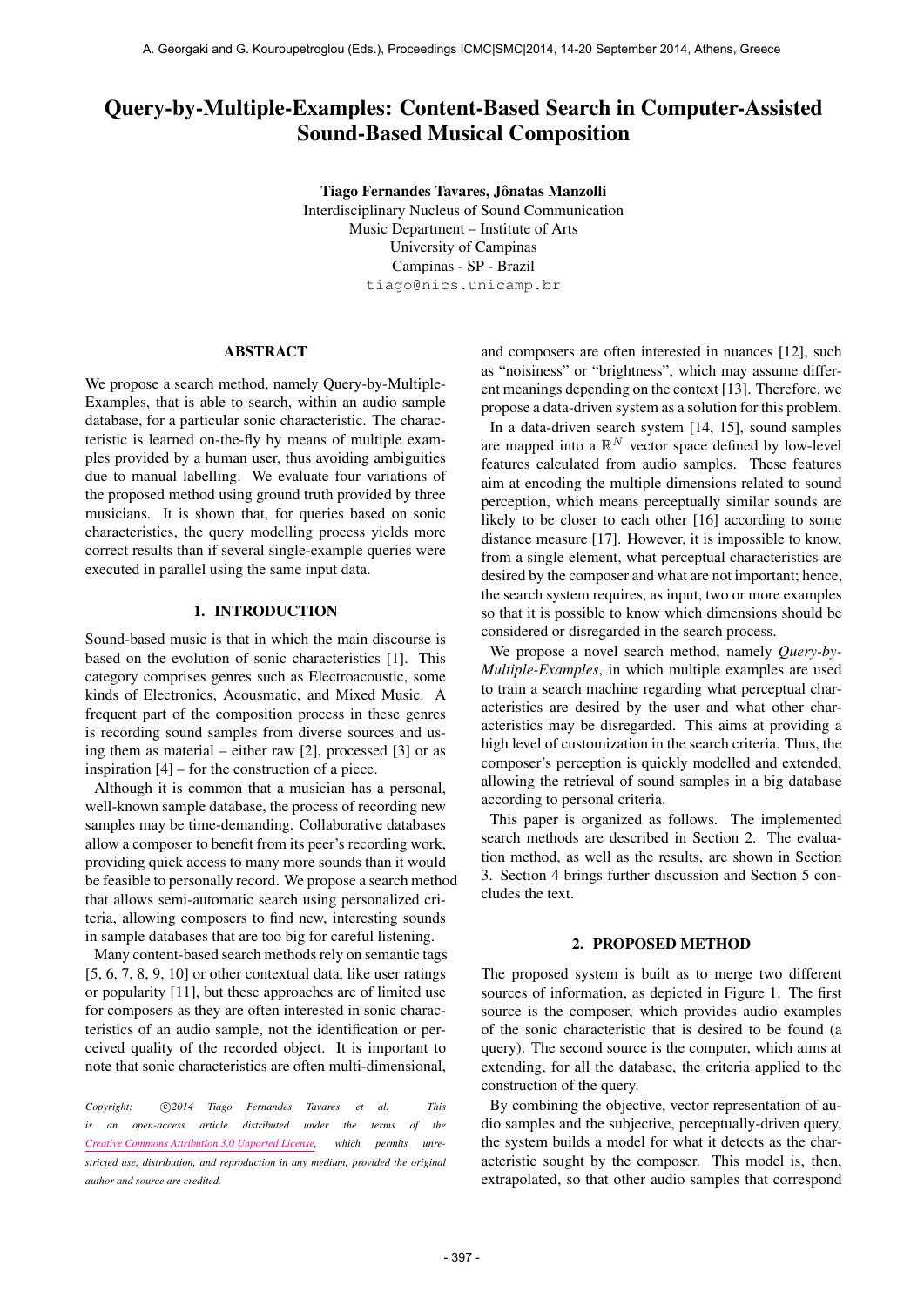# Query-by-Multiple-Examples: Content-Based Search in Computer-Assisted Sound-Based Musical Composition

Tiago Fernandes Tavares, Jônatas Manzolli Interdisciplinary Nucleus of Sound Communication Music Department – Institute of Arts University of Campinas Campinas - SP - Brazil [tiago@nics.unicamp.br](mailto:tiago@nics.unicamp.br)

## ABSTRACT

We propose a search method, namely Query-by-Multiple-Examples, that is able to search, within an audio sample database, for a particular sonic characteristic. The characteristic is learned on-the-fly by means of multiple examples provided by a human user, thus avoiding ambiguities due to manual labelling. We evaluate four variations of the proposed method using ground truth provided by three musicians. It is shown that, for queries based on sonic characteristics, the query modelling process yields more correct results than if several single-example queries were executed in parallel using the same input data.

## 1. INTRODUCTION

Sound-based music is that in which the main discourse is based on the evolution of sonic characteristics [1]. This category comprises genres such as Electroacoustic, some kinds of Electronics, Acousmatic, and Mixed Music. A frequent part of the composition process in these genres is recording sound samples from diverse sources and using them as material – either raw [2], processed [3] or as inspiration [4] – for the construction of a piece.

Although it is common that a musician has a personal, well-known sample database, the process of recording new samples may be time-demanding. Collaborative databases allow a composer to benefit from its peer's recording work, providing quick access to many more sounds than it would be feasible to personally record. We propose a search method that allows semi-automatic search using personalized criteria, allowing composers to find new, interesting sounds in sample databases that are too big for careful listening.

Many content-based search methods rely on semantic tags [5, 6, 7, 8, 9, 10] or other contextual data, like user ratings or popularity [11], but these approaches are of limited use for composers as they are often interested in sonic characteristics of an audio sample, not the identification or perceived quality of the recorded object. It is important to note that sonic characteristics are often multi-dimensional,

Copyright:  $\bigcirc$  2014 Tiago Fernandes Tavares et al. This *is an open-access article distributed under the terms of the [Creative Commons Attribution 3.0 Unported License,](http://creativecommons.org/licenses/by/3.0/) which permits unrestricted use, distribution, and reproduction in any medium, provided the original author and source are credited.*

and composers are often interested in nuances [12], such as "noisiness" or "brightness", which may assume different meanings depending on the context [13]. Therefore, we propose a data-driven system as a solution for this problem.

In a data-driven search system [14, 15], sound samples are mapped into a  $\mathbb{R}^N$  vector space defined by low-level features calculated from audio samples. These features aim at encoding the multiple dimensions related to sound perception, which means perceptually similar sounds are likely to be closer to each other [16] according to some distance measure [17]. However, it is impossible to know, from a single element, what perceptual characteristics are desired by the composer and what are not important; hence, the search system requires, as input, two or more examples so that it is possible to know which dimensions should be considered or disregarded in the search process.

We propose a novel search method, namely *Query-by-Multiple-Examples*, in which multiple examples are used to train a search machine regarding what perceptual characteristics are desired by the user and what other characteristics may be disregarded. This aims at providing a high level of customization in the search criteria. Thus, the composer's perception is quickly modelled and extended, allowing the retrieval of sound samples in a big database according to personal criteria.

This paper is organized as follows. The implemented search methods are described in Section 2. The evaluation method, as well as the results, are shown in Section 3. Section 4 brings further discussion and Section 5 concludes the text.

## 2. PROPOSED METHOD

The proposed system is built as to merge two different sources of information, as depicted in Figure 1. The first source is the composer, which provides audio examples of the sonic characteristic that is desired to be found (a query). The second source is the computer, which aims at extending, for all the database, the criteria applied to the construction of the query.

By combining the objective, vector representation of audio samples and the subjective, perceptually-driven query, the system builds a model for what it detects as the characteristic sought by the composer. This model is, then, extrapolated, so that other audio samples that correspond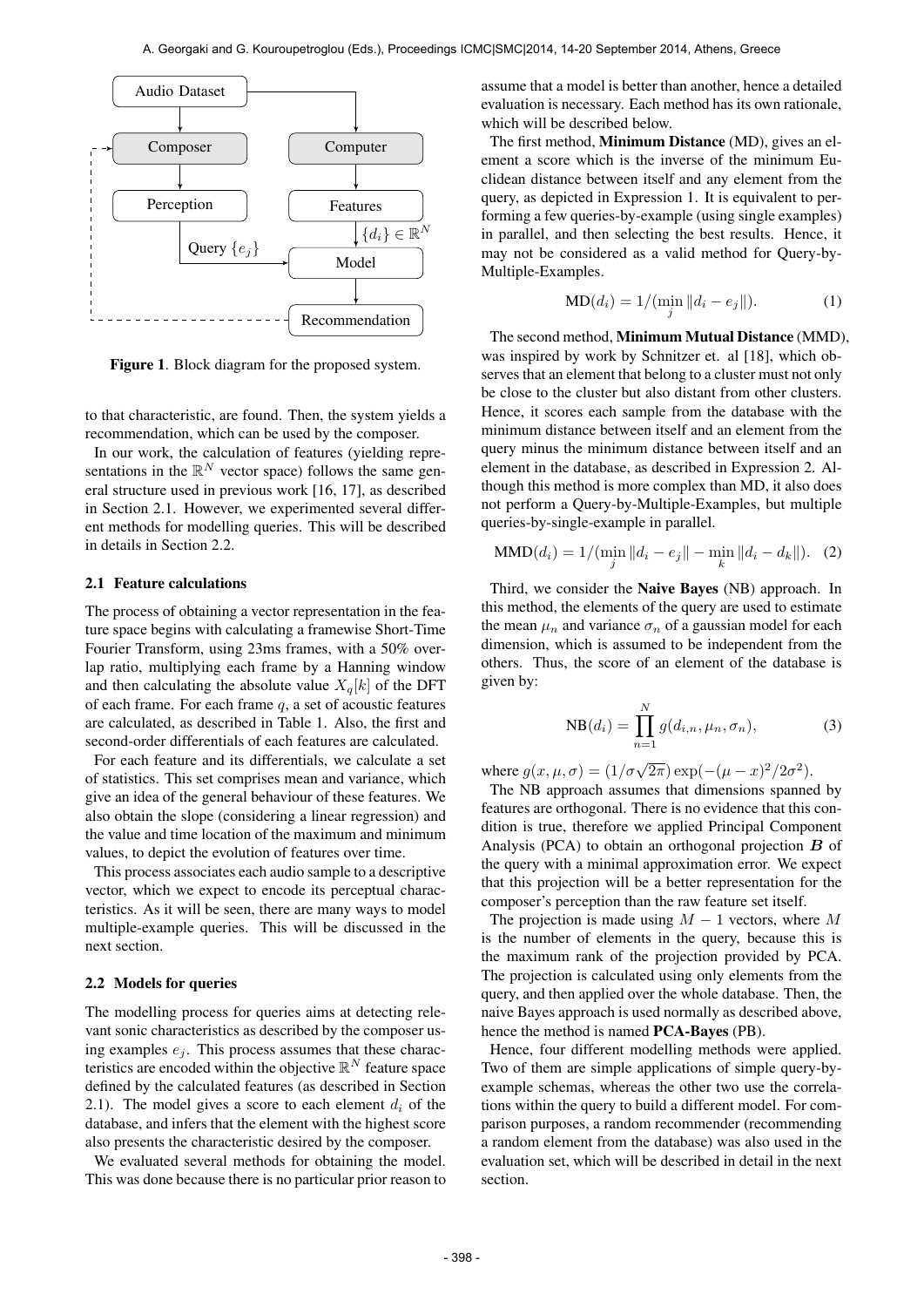

Figure 1. Block diagram for the proposed system.

to that characteristic, are found. Then, the system yields a recommendation, which can be used by the composer.

In our work, the calculation of features (yielding representations in the  $\mathbb{R}^N$  vector space) follows the same general structure used in previous work [16, 17], as described in Section 2.1. However, we experimented several different methods for modelling queries. This will be described in details in Section 2.2.

## 2.1 Feature calculations

The process of obtaining a vector representation in the feature space begins with calculating a framewise Short-Time Fourier Transform, using 23ms frames, with a 50% overlap ratio, multiplying each frame by a Hanning window and then calculating the absolute value  $X_q[k]$  of the DFT of each frame. For each frame  $q$ , a set of acoustic features are calculated, as described in Table 1. Also, the first and second-order differentials of each features are calculated.

For each feature and its differentials, we calculate a set of statistics. This set comprises mean and variance, which give an idea of the general behaviour of these features. We also obtain the slope (considering a linear regression) and the value and time location of the maximum and minimum values, to depict the evolution of features over time.

This process associates each audio sample to a descriptive vector, which we expect to encode its perceptual characteristics. As it will be seen, there are many ways to model multiple-example queries. This will be discussed in the next section.

## 2.2 Models for queries

The modelling process for queries aims at detecting relevant sonic characteristics as described by the composer using examples  $e_i$ . This process assumes that these characteristics are encoded within the objective  $\mathbb{R}^N$  feature space defined by the calculated features (as described in Section 2.1). The model gives a score to each element  $d_i$  of the database, and infers that the element with the highest score also presents the characteristic desired by the composer.

We evaluated several methods for obtaining the model. This was done because there is no particular prior reason to assume that a model is better than another, hence a detailed evaluation is necessary. Each method has its own rationale, which will be described below.

The first method, Minimum Distance (MD), gives an element a score which is the inverse of the minimum Euclidean distance between itself and any element from the query, as depicted in Expression 1. It is equivalent to performing a few queries-by-example (using single examples) in parallel, and then selecting the best results. Hence, it may not be considered as a valid method for Query-by-Multiple-Examples.

$$
MD(d_i) = 1/(\min_j ||d_i - e_j||). \tag{1}
$$

The second method, Minimum Mutual Distance (MMD), was inspired by work by Schnitzer et. al [18], which observes that an element that belong to a cluster must not only be close to the cluster but also distant from other clusters. Hence, it scores each sample from the database with the minimum distance between itself and an element from the query minus the minimum distance between itself and an element in the database, as described in Expression 2. Although this method is more complex than MD, it also does not perform a Query-by-Multiple-Examples, but multiple queries-by-single-example in parallel.

$$
\text{MMD}(d_i) = 1/(\min_j ||d_i - e_j|| - \min_k ||d_i - d_k||). \tag{2}
$$

Third, we consider the Naive Bayes (NB) approach. In this method, the elements of the query are used to estimate the mean  $\mu_n$  and variance  $\sigma_n$  of a gaussian model for each dimension, which is assumed to be independent from the others. Thus, the score of an element of the database is given by:

$$
NB(d_i) = \prod_{n=1}^{N} g(d_{i,n}, \mu_n, \sigma_n),
$$
\n(3)

where  $g(x, \mu, \sigma) = (1/\sigma\sqrt{2\pi}) \exp(-(\mu - x)^2/2\sigma^2)$ .

The NB approach assumes that dimensions spanned by features are orthogonal. There is no evidence that this condition is true, therefore we applied Principal Component Analysis (PCA) to obtain an orthogonal projection  $\boldsymbol{B}$  of the query with a minimal approximation error. We expect that this projection will be a better representation for the composer's perception than the raw feature set itself.

The projection is made using  $M - 1$  vectors, where M is the number of elements in the query, because this is the maximum rank of the projection provided by PCA. The projection is calculated using only elements from the query, and then applied over the whole database. Then, the naive Bayes approach is used normally as described above, hence the method is named PCA-Bayes (PB).

Hence, four different modelling methods were applied. Two of them are simple applications of simple query-byexample schemas, whereas the other two use the correlations within the query to build a different model. For comparison purposes, a random recommender (recommending a random element from the database) was also used in the evaluation set, which will be described in detail in the next section.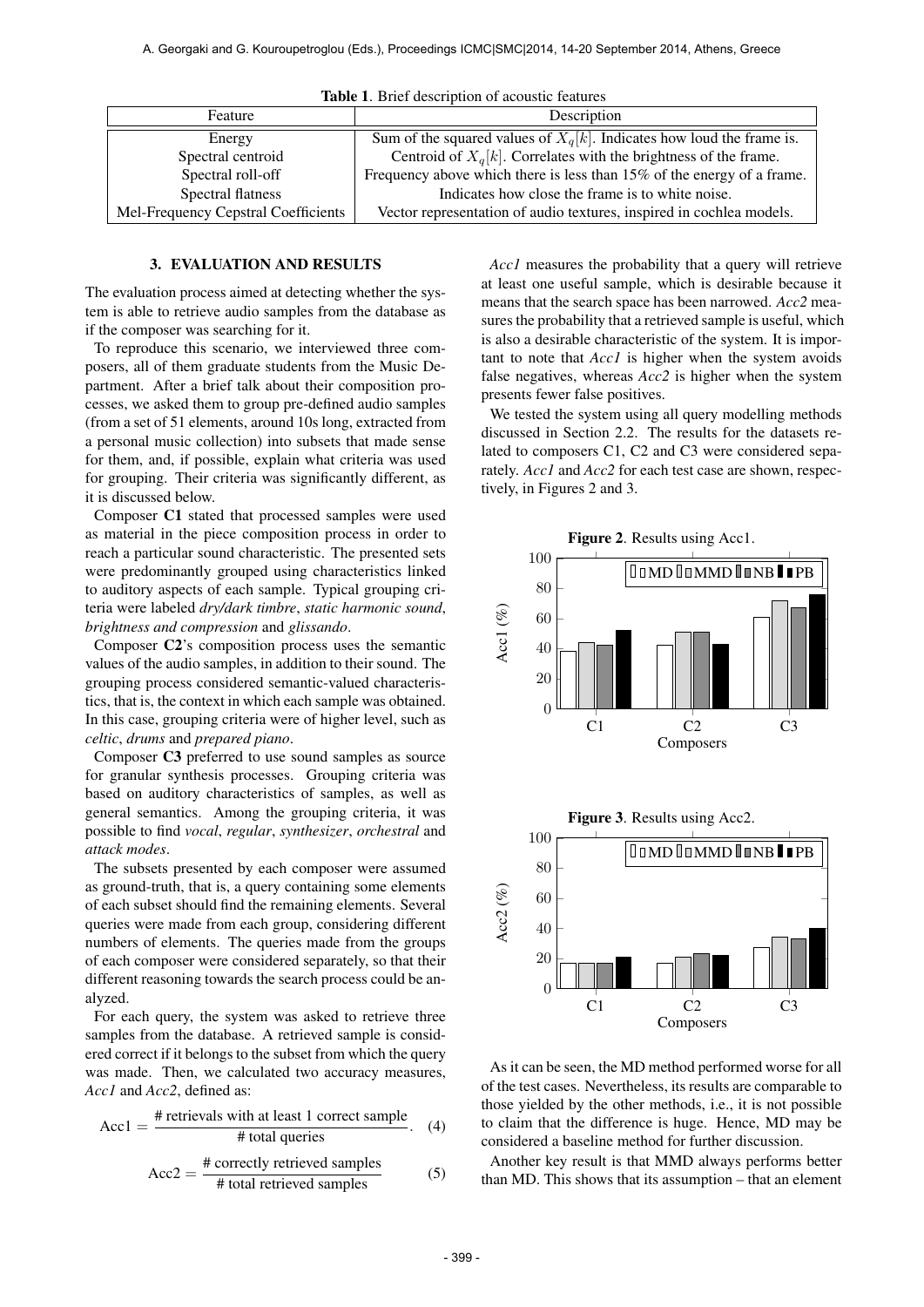| <b>THOIC</b> 1. DHOI GOODHOID OF GOODGUO IOGUALOS |                                                                          |
|---------------------------------------------------|--------------------------------------------------------------------------|
| Feature                                           | Description                                                              |
| Energy                                            | Sum of the squared values of $X_q[k]$ . Indicates how loud the frame is. |
| Spectral centroid                                 | Centroid of $X_q[k]$ . Correlates with the brightness of the frame.      |
| Spectral roll-off                                 | Frequency above which there is less than 15% of the energy of a frame.   |
| Spectral flatness                                 | Indicates how close the frame is to white noise.                         |
| Mel-Frequency Cepstral Coefficients               | Vector representation of audio textures, inspired in cochlea models.     |

Table 1. Brief description of acoustic features

## 3. EVALUATION AND RESULTS

The evaluation process aimed at detecting whether the system is able to retrieve audio samples from the database as if the composer was searching for it.

To reproduce this scenario, we interviewed three composers, all of them graduate students from the Music Department. After a brief talk about their composition processes, we asked them to group pre-defined audio samples (from a set of 51 elements, around 10s long, extracted from a personal music collection) into subsets that made sense for them, and, if possible, explain what criteria was used for grouping. Their criteria was significantly different, as it is discussed below.

Composer C1 stated that processed samples were used as material in the piece composition process in order to reach a particular sound characteristic. The presented sets were predominantly grouped using characteristics linked to auditory aspects of each sample. Typical grouping criteria were labeled *dry/dark timbre*, *static harmonic sound*, *brightness and compression* and *glissando*.

Composer C2's composition process uses the semantic values of the audio samples, in addition to their sound. The grouping process considered semantic-valued characteristics, that is, the context in which each sample was obtained. In this case, grouping criteria were of higher level, such as *celtic*, *drums* and *prepared piano*.

Composer C3 preferred to use sound samples as source for granular synthesis processes. Grouping criteria was based on auditory characteristics of samples, as well as general semantics. Among the grouping criteria, it was possible to find *vocal*, *regular*, *synthesizer*, *orchestral* and *attack modes*.

The subsets presented by each composer were assumed as ground-truth, that is, a query containing some elements of each subset should find the remaining elements. Several queries were made from each group, considering different numbers of elements. The queries made from the groups of each composer were considered separately, so that their different reasoning towards the search process could be analyzed.

For each query, the system was asked to retrieve three samples from the database. A retrieved sample is considered correct if it belongs to the subset from which the query was made. Then, we calculated two accuracy measures, *Acc1* and *Acc2*, defined as:

$$
Acc1 = \frac{\text{\# retrievals with at least 1 correct sample}}{\text{\# total queries}}.
$$
 (4)

$$
Acc2 = \frac{\text{\# correctly retrieved samples}}{\text{\# total retrieved samples}}
$$
 (5)

*Acc1* measures the probability that a query will retrieve at least one useful sample, which is desirable because it means that the search space has been narrowed. *Acc2* measures the probability that a retrieved sample is useful, which is also a desirable characteristic of the system. It is important to note that *Acc1* is higher when the system avoids false negatives, whereas *Acc2* is higher when the system presents fewer false positives.

We tested the system using all query modelling methods discussed in Section 2.2. The results for the datasets related to composers C1, C2 and C3 were considered separately. *Acc1* and *Acc2* for each test case are shown, respectively, in Figures 2 and 3.



As it can be seen, the MD method performed worse for all of the test cases. Nevertheless, its results are comparable to those yielded by the other methods, i.e., it is not possible to claim that the difference is huge. Hence, MD may be considered a baseline method for further discussion.

Another key result is that MMD always performs better than MD. This shows that its assumption – that an element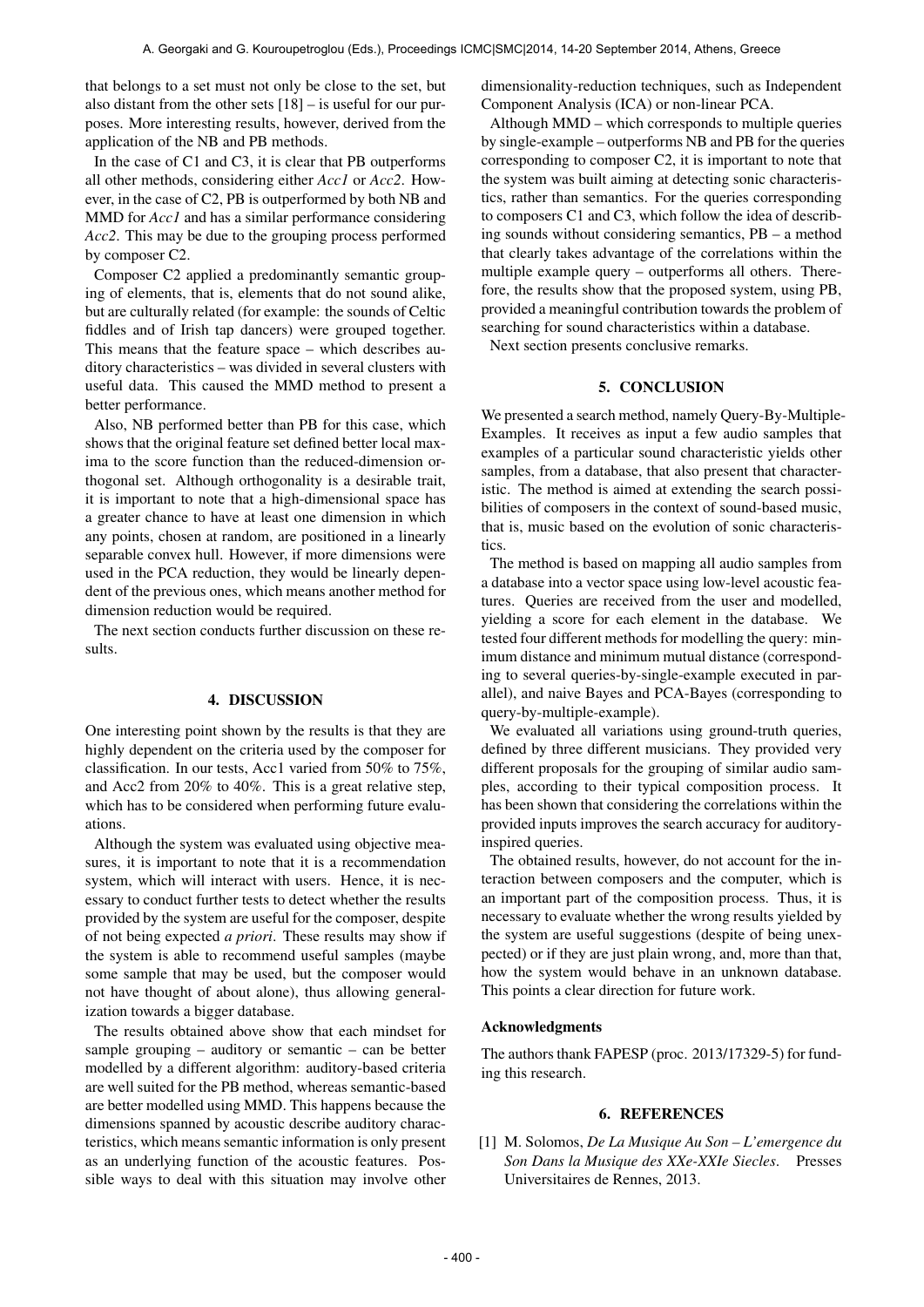that belongs to a set must not only be close to the set, but also distant from the other sets [18] – is useful for our purposes. More interesting results, however, derived from the application of the NB and PB methods.

In the case of C1 and C3, it is clear that PB outperforms all other methods, considering either *Acc1* or *Acc2*. However, in the case of C2, PB is outperformed by both NB and MMD for *Acc1* and has a similar performance considering *Acc2*. This may be due to the grouping process performed by composer C2.

Composer C2 applied a predominantly semantic grouping of elements, that is, elements that do not sound alike, but are culturally related (for example: the sounds of Celtic fiddles and of Irish tap dancers) were grouped together. This means that the feature space – which describes auditory characteristics – was divided in several clusters with useful data. This caused the MMD method to present a better performance.

Also, NB performed better than PB for this case, which shows that the original feature set defined better local maxima to the score function than the reduced-dimension orthogonal set. Although orthogonality is a desirable trait, it is important to note that a high-dimensional space has a greater chance to have at least one dimension in which any points, chosen at random, are positioned in a linearly separable convex hull. However, if more dimensions were used in the PCA reduction, they would be linearly dependent of the previous ones, which means another method for dimension reduction would be required.

The next section conducts further discussion on these results.

## 4. DISCUSSION

One interesting point shown by the results is that they are highly dependent on the criteria used by the composer for classification. In our tests, Acc1 varied from 50% to 75%, and Acc2 from 20% to 40%. This is a great relative step, which has to be considered when performing future evaluations.

Although the system was evaluated using objective measures, it is important to note that it is a recommendation system, which will interact with users. Hence, it is necessary to conduct further tests to detect whether the results provided by the system are useful for the composer, despite of not being expected *a priori*. These results may show if the system is able to recommend useful samples (maybe some sample that may be used, but the composer would not have thought of about alone), thus allowing generalization towards a bigger database.

The results obtained above show that each mindset for sample grouping – auditory or semantic – can be better modelled by a different algorithm: auditory-based criteria are well suited for the PB method, whereas semantic-based are better modelled using MMD. This happens because the dimensions spanned by acoustic describe auditory characteristics, which means semantic information is only present as an underlying function of the acoustic features. Possible ways to deal with this situation may involve other

dimensionality-reduction techniques, such as Independent Component Analysis (ICA) or non-linear PCA.

Although MMD – which corresponds to multiple queries by single-example – outperforms NB and PB for the queries corresponding to composer C2, it is important to note that the system was built aiming at detecting sonic characteristics, rather than semantics. For the queries corresponding to composers C1 and C3, which follow the idea of describing sounds without considering semantics, PB – a method that clearly takes advantage of the correlations within the multiple example query – outperforms all others. Therefore, the results show that the proposed system, using PB, provided a meaningful contribution towards the problem of searching for sound characteristics within a database.

Next section presents conclusive remarks.

## 5. CONCLUSION

We presented a search method, namely Query-By-Multiple-Examples. It receives as input a few audio samples that examples of a particular sound characteristic yields other samples, from a database, that also present that characteristic. The method is aimed at extending the search possibilities of composers in the context of sound-based music, that is, music based on the evolution of sonic characteristics.

The method is based on mapping all audio samples from a database into a vector space using low-level acoustic features. Queries are received from the user and modelled, yielding a score for each element in the database. We tested four different methods for modelling the query: minimum distance and minimum mutual distance (corresponding to several queries-by-single-example executed in parallel), and naive Bayes and PCA-Bayes (corresponding to query-by-multiple-example).

We evaluated all variations using ground-truth queries, defined by three different musicians. They provided very different proposals for the grouping of similar audio samples, according to their typical composition process. It has been shown that considering the correlations within the provided inputs improves the search accuracy for auditoryinspired queries.

The obtained results, however, do not account for the interaction between composers and the computer, which is an important part of the composition process. Thus, it is necessary to evaluate whether the wrong results yielded by the system are useful suggestions (despite of being unexpected) or if they are just plain wrong, and, more than that, how the system would behave in an unknown database. This points a clear direction for future work.

## Acknowledgments

The authors thank FAPESP (proc. 2013/17329-5) for funding this research.

## 6. REFERENCES

[1] M. Solomos, *De La Musique Au Son – L'emergence du Son Dans la Musique des XXe-XXIe Siecles*. Presses Universitaires de Rennes, 2013.